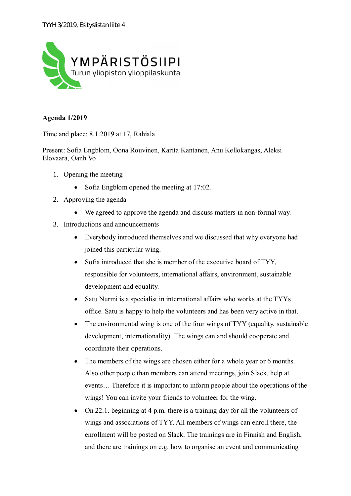

## **Agenda 1/2019**

Time and place: 8.1.2019 at 17, Rahiala

Present: Sofia Engblom, Oona Rouvinen, Karita Kantanen, Anu Kellokangas, Aleksi Elovaara, Oanh Vo

- 1. Opening the meeting
	- Sofia Engblom opened the meeting at 17:02.
- 2. Approving the agenda
	- · We agreed to approve the agenda and discuss matters in non-formal way.
- 3. Introductions and announcements
	- · Everybody introduced themselves and we discussed that why everyone had joined this particular wing.
	- Sofia introduced that she is member of the executive board of TYY, responsible for volunteers, international affairs, environment, sustainable development and equality.
	- Satu Nurmi is a specialist in international affairs who works at the TYYs office. Satu is happy to help the volunteers and has been very active in that.
	- The environmental wing is one of the four wings of TYY (equality, sustainable development, internationality). The wings can and should cooperate and coordinate their operations.
	- The members of the wings are chosen either for a whole year or 6 months. Also other people than members can attend meetings, join Slack, help at events… Therefore it is important to inform people about the operations of the wings! You can invite your friends to volunteer for the wing.
	- On 22.1. beginning at 4 p.m. there is a training day for all the volunteers of wings and associations of TYY. All members of wings can enroll there, the enrollment will be posted on Slack. The trainings are in Finnish and English, and there are trainings on e.g. how to organise an event and communicating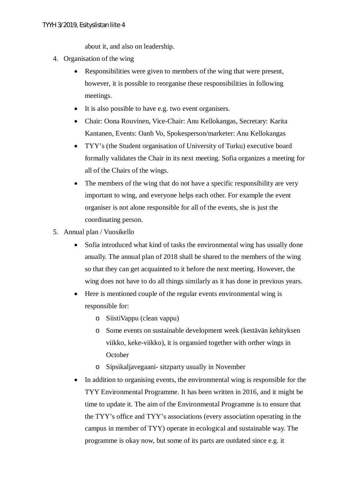about it, and also on leadership.

- 4. Organisation of the wing
	- Responsibilities were given to members of the wing that were present, however, it is possible to reorganise these responsibilities in following meetings.
	- · It is also possible to have e.g. two event organisers.
	- · Chair: Oona Rouvinen, Vice-Chair: Anu Kellokangas, Secretary: Karita Kantanen, Events: Oanh Vo, Spokesperson/marketer: Anu Kellokangas
	- · TYY's (the Student organisation of University of Turku) executive board formally validates the Chair in its next meeting. Sofia organizes a meeting for all of the Chairs of the wings.
	- The members of the wing that do not have a specific responsibility are very important to wing, and everyone helps each other. For example the event organiser is not alone responsible for all of the events, she is just the coordinating person.
- 5. Annual plan / Vuosikello
	- Sofia introduced what kind of tasks the environmental wing has usually done anually. The annual plan of 2018 shall be shared to the members of the wing so that they can get acquainted to it before the next meeting. However, the wing does not have to do all things similarly as it has done in previous years.
	- Here is mentioned couple of the regular events environmental wing is responsible for:
		- o SiistiVappu (clean vappu)
		- o Some events on sustainable development week (kestävän kehityksen viikko, keke-viikko), it is organsied together with orther wings in **October**
		- o Sipsikaljavegaani- sitzparty usually in November
	- In addition to organising events, the environmental wing is responsible for the TYY Environmental Programme. It has been written in 2016, and it might be time to update it. The aim of the Environmental Programme is to ensure that the TYY's office and TYY's associations (every association operating in the campus in member of TYY) operate in ecological and sustainable way. The programme is okay now, but some of its parts are outdated since e.g. it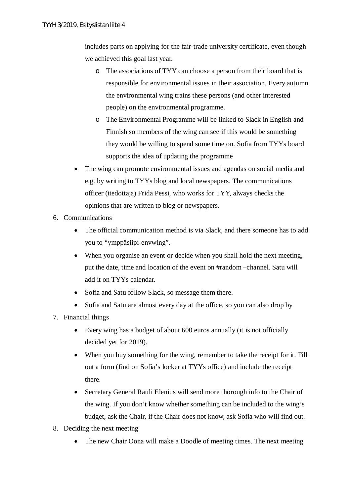includes parts on applying for the fair-trade university certificate, even though we achieved this goal last year.

- o The associations of TYY can choose a person from their board that is responsible for environmental issues in their association. Every autumn the environmental wing trains these persons (and other interested people) on the environmental programme.
- o The Environmental Programme will be linked to Slack in English and Finnish so members of the wing can see if this would be something they would be willing to spend some time on. Sofia from TYYs board supports the idea of updating the programme
- The wing can promote environmental issues and agendas on social media and e.g. by writing to TYYs blog and local newspapers. The communications officer (tiedottaja) Frida Pessi, who works for TYY, always checks the opinions that are written to blog or newspapers.
- 6. Communications
	- The official communication method is via Slack, and there someone has to add you to "ymppäsiipi-envwing".
	- When you organise an event or decide when you shall hold the next meeting. put the date, time and location of the event on #random –channel. Satu will add it on TYYs calendar.
	- Sofia and Satu follow Slack, so message them there.
	- Sofia and Satu are almost every day at the office, so you can also drop by
- 7. Financial things
	- · Every wing has a budget of about 600 euros annually (it is not officially decided yet for 2019).
	- When you buy something for the wing, remember to take the receipt for it. Fill out a form (find on Sofia's locker at TYYs office) and include the receipt there.
	- Secretary General Rauli Elenius will send more thorough info to the Chair of the wing. If you don't know whether something can be included to the wing's budget, ask the Chair, if the Chair does not know, ask Sofia who will find out.
- 8. Deciding the next meeting
	- The new Chair Oona will make a Doodle of meeting times. The next meeting